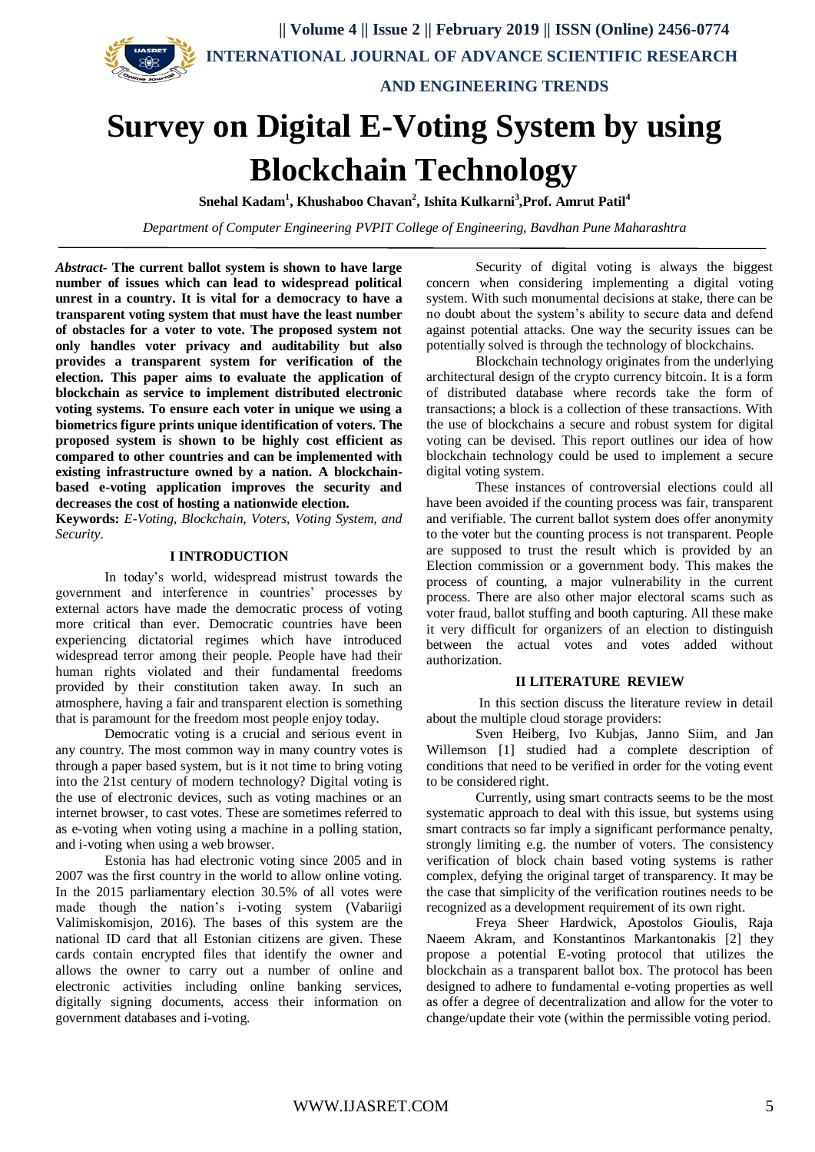**|| Volume 4 || Issue 2 || February 2019 || ISSN (Online) 2456-0774 INTERNATIONAL JOURNAL OF ADVANCE SCIENTIFIC RESEARCH** 



 **AND ENGINEERING TRENDS**

# **Survey on Digital E-Voting System by using Blockchain Technology**

**Snehal Kadam<sup>1</sup> , Khushaboo Chavan<sup>2</sup> , Ishita Kulkarni<sup>3</sup> ,Prof. Amrut Patil<sup>4</sup>**

*Department of Computer Engineering PVPIT College of Engineering, Bavdhan Pune Maharashtra*

*Abstract***- The current ballot system is shown to have large number of issues which can lead to widespread political unrest in a country. It is vital for a democracy to have a transparent voting system that must have the least number of obstacles for a voter to vote. The proposed system not only handles voter privacy and auditability but also provides a transparent system for verification of the election. This paper aims to evaluate the application of blockchain as service to implement distributed electronic voting systems. To ensure each voter in unique we using a biometrics figure prints unique identification of voters. The proposed system is shown to be highly cost efficient as compared to other countries and can be implemented with existing infrastructure owned by a nation. A blockchainbased e-voting application improves the security and decreases the cost of hosting a nationwide election.**

**Keywords:** *E-Voting, Blockchain, Voters, Voting System, and Security.*

### **I INTRODUCTION**

In today's world, widespread mistrust towards the government and interference in countries' processes by external actors have made the democratic process of voting more critical than ever. Democratic countries have been experiencing dictatorial regimes which have introduced widespread terror among their people. People have had their human rights violated and their fundamental freedoms provided by their constitution taken away. In such an atmosphere, having a fair and transparent election is something that is paramount for the freedom most people enjoy today.

Democratic voting is a crucial and serious event in any country. The most common way in many country votes is through a paper based system, but is it not time to bring voting into the 21st century of modern technology? Digital voting is the use of electronic devices, such as voting machines or an internet browser, to cast votes. These are sometimes referred to as e-voting when voting using a machine in a polling station, and i-voting when using a web browser.

Estonia has had electronic voting since 2005 and in 2007 was the first country in the world to allow online voting. In the 2015 parliamentary election 30.5% of all votes were made though the nation's i-voting system (Vabariigi Valimiskomisjon, 2016). The bases of this system are the national ID card that all Estonian citizens are given. These cards contain encrypted files that identify the owner and allows the owner to carry out a number of online and electronic activities including online banking services, digitally signing documents, access their information on government databases and i-voting.

Security of digital voting is always the biggest concern when considering implementing a digital voting system. With such monumental decisions at stake, there can be no doubt about the system's ability to secure data and defend against potential attacks. One way the security issues can be potentially solved is through the technology of blockchains.

Blockchain technology originates from the underlying architectural design of the crypto currency bitcoin. It is a form of distributed database where records take the form of transactions; a block is a collection of these transactions. With the use of blockchains a secure and robust system for digital voting can be devised. This report outlines our idea of how blockchain technology could be used to implement a secure digital voting system.

These instances of controversial elections could all have been avoided if the counting process was fair, transparent and verifiable. The current ballot system does offer anonymity to the voter but the counting process is not transparent. People are supposed to trust the result which is provided by an Election commission or a government body. This makes the process of counting, a major vulnerability in the current process. There are also other major electoral scams such as voter fraud, ballot stuffing and booth capturing. All these make it very difficult for organizers of an election to distinguish between the actual votes and votes added without authorization.

## **II LITERATURE REVIEW**

 In this section discuss the literature review in detail about the multiple cloud storage providers:

Sven Heiberg, Ivo Kubjas, Janno Siim, and Jan Willemson [1] studied had a complete description of conditions that need to be verified in order for the voting event to be considered right.

Currently, using smart contracts seems to be the most systematic approach to deal with this issue, but systems using smart contracts so far imply a significant performance penalty, strongly limiting e.g. the number of voters. The consistency verification of block chain based voting systems is rather complex, defying the original target of transparency. It may be the case that simplicity of the verification routines needs to be recognized as a development requirement of its own right.

Freya Sheer Hardwick, Apostolos Gioulis, Raja Naeem Akram, and Konstantinos Markantonakis [2] they propose a potential E-voting protocol that utilizes the blockchain as a transparent ballot box. The protocol has been designed to adhere to fundamental e-voting properties as well as offer a degree of decentralization and allow for the voter to change/update their vote (within the permissible voting period.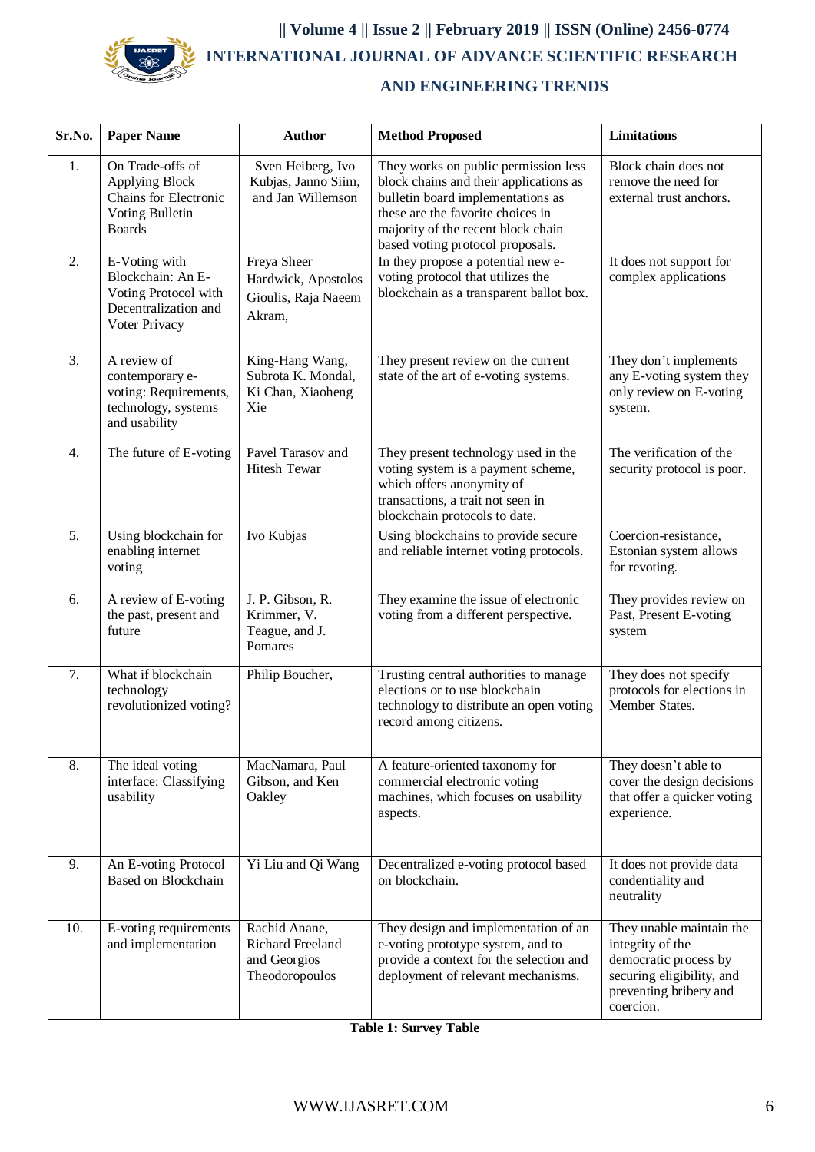

## **|| Volume 4 || Issue 2 || February 2019 || ISSN (Online) 2456-0774 INTERNATIONAL JOURNAL OF ADVANCE SCIENTIFIC RESEARCH**

## **AND ENGINEERING TRENDS**

| Sr.No.           | <b>Paper Name</b>                                                                                   | <b>Author</b>                                                       | <b>Method Proposed</b>                                                                                                                                                                                                             | <b>Limitations</b>                                                                                                                        |
|------------------|-----------------------------------------------------------------------------------------------------|---------------------------------------------------------------------|------------------------------------------------------------------------------------------------------------------------------------------------------------------------------------------------------------------------------------|-------------------------------------------------------------------------------------------------------------------------------------------|
| 1.               | On Trade-offs of<br>Applying Block<br>Chains for Electronic<br>Voting Bulletin<br><b>Boards</b>     | Sven Heiberg, Ivo<br>Kubjas, Janno Siim,<br>and Jan Willemson       | They works on public permission less<br>block chains and their applications as<br>bulletin board implementations as<br>these are the favorite choices in<br>majority of the recent block chain<br>based voting protocol proposals. | Block chain does not<br>remove the need for<br>external trust anchors.                                                                    |
| 2.               | E-Voting with<br>Blockchain: An E-<br>Voting Protocol with<br>Decentralization and<br>Voter Privacy | Freya Sheer<br>Hardwick, Apostolos<br>Gioulis, Raja Naeem<br>Akram, | In they propose a potential new e-<br>voting protocol that utilizes the<br>blockchain as a transparent ballot box.                                                                                                                 | It does not support for<br>complex applications                                                                                           |
| 3.               | A review of<br>contemporary e-<br>voting: Requirements,<br>technology, systems<br>and usability     | King-Hang Wang,<br>Subrota K. Mondal,<br>Ki Chan, Xiaoheng<br>Xie   | They present review on the current<br>state of the art of e-voting systems.                                                                                                                                                        | They don't implements<br>any E-voting system they<br>only review on E-voting<br>system.                                                   |
| $\overline{4}$ . | The future of E-voting                                                                              | Pavel Tarasov and<br><b>Hitesh Tewar</b>                            | They present technology used in the<br>voting system is a payment scheme,<br>which offers anonymity of<br>transactions, a trait not seen in<br>blockchain protocols to date.                                                       | The verification of the<br>security protocol is poor.                                                                                     |
| 5.               | Using blockchain for<br>enabling internet<br>voting                                                 | Ivo Kubjas                                                          | Using blockchains to provide secure<br>and reliable internet voting protocols.                                                                                                                                                     | Coercion-resistance,<br>Estonian system allows<br>for revoting.                                                                           |
| 6.               | A review of E-voting<br>the past, present and<br>future                                             | J. P. Gibson, R.<br>Krimmer, V.<br>Teague, and J.<br>Pomares        | They examine the issue of electronic<br>voting from a different perspective.                                                                                                                                                       | They provides review on<br>Past, Present E-voting<br>system                                                                               |
| 7.               | What if blockchain<br>technology<br>revolutionized voting?                                          | Philip Boucher,                                                     | Trusting central authorities to manage<br>elections or to use blockchain<br>technology to distribute an open voting<br>record among citizens.                                                                                      | They does not specify<br>protocols for elections in<br>Member States.                                                                     |
| 8.               | The ideal voting<br>interface: Classifying<br>usability                                             | MacNamara, Paul<br>Gibson, and Ken<br>Oakley                        | A feature-oriented taxonomy for<br>commercial electronic voting<br>machines, which focuses on usability<br>aspects.                                                                                                                | They doesn't able to<br>cover the design decisions<br>that offer a quicker voting<br>experience.                                          |
| 9.               | An E-voting Protocol<br>Based on Blockchain                                                         | Yi Liu and Qi Wang                                                  | Decentralized e-voting protocol based<br>on blockchain.                                                                                                                                                                            | It does not provide data<br>condentiality and<br>neutrality                                                                               |
| 10.              | E-voting requirements<br>and implementation                                                         | Rachid Anane,<br>Richard Freeland<br>and Georgios<br>Theodoropoulos | They design and implementation of an<br>e-voting prototype system, and to<br>provide a context for the selection and<br>deployment of relevant mechanisms.                                                                         | They unable maintain the<br>integrity of the<br>democratic process by<br>securing eligibility, and<br>preventing bribery and<br>coercion. |

|  | <b>Table 1: Survey Table</b> |  |
|--|------------------------------|--|
|  |                              |  |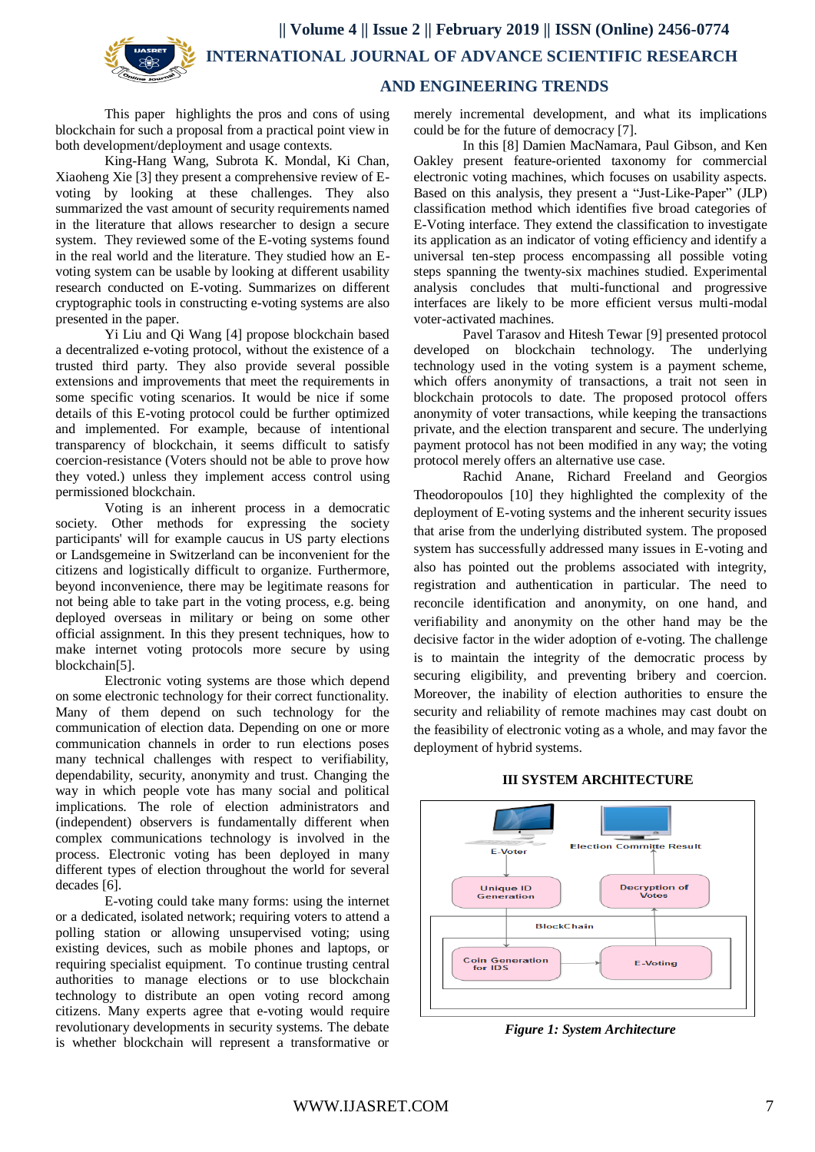**AND ENGINEERING TRENDS**

This paper highlights the pros and cons of using blockchain for such a proposal from a practical point view in both development/deployment and usage contexts.

King-Hang Wang, Subrota K. Mondal, Ki Chan, Xiaoheng Xie [3] they present a comprehensive review of Evoting by looking at these challenges. They also summarized the vast amount of security requirements named in the literature that allows researcher to design a secure system. They reviewed some of the E-voting systems found in the real world and the literature. They studied how an Evoting system can be usable by looking at different usability research conducted on E-voting. Summarizes on different cryptographic tools in constructing e-voting systems are also presented in the paper.

Yi Liu and Qi Wang [4] propose blockchain based a decentralized e-voting protocol, without the existence of a trusted third party. They also provide several possible extensions and improvements that meet the requirements in some specific voting scenarios. It would be nice if some details of this E-voting protocol could be further optimized and implemented. For example, because of intentional transparency of blockchain, it seems difficult to satisfy coercion-resistance (Voters should not be able to prove how they voted.) unless they implement access control using permissioned blockchain.

Voting is an inherent process in a democratic society. Other methods for expressing the society participants' will for example caucus in US party elections or Landsgemeine in Switzerland can be inconvenient for the citizens and logistically difficult to organize. Furthermore, beyond inconvenience, there may be legitimate reasons for not being able to take part in the voting process, e.g. being deployed overseas in military or being on some other official assignment. In this they present techniques, how to make internet voting protocols more secure by using blockchain[5].

Electronic voting systems are those which depend on some electronic technology for their correct functionality. Many of them depend on such technology for the communication of election data. Depending on one or more communication channels in order to run elections poses many technical challenges with respect to verifiability, dependability, security, anonymity and trust. Changing the way in which people vote has many social and political implications. The role of election administrators and (independent) observers is fundamentally different when complex communications technology is involved in the process. Electronic voting has been deployed in many different types of election throughout the world for several decades [6].

E-voting could take many forms: using the internet or a dedicated, isolated network; requiring voters to attend a polling station or allowing unsupervised voting; using existing devices, such as mobile phones and laptops, or requiring specialist equipment. To continue trusting central authorities to manage elections or to use blockchain technology to distribute an open voting record among citizens. Many experts agree that e-voting would require revolutionary developments in security systems. The debate is whether blockchain will represent a transformative or

merely incremental development, and what its implications could be for the future of democracy [7].

In this [8] Damien MacNamara, Paul Gibson, and Ken Oakley present feature-oriented taxonomy for commercial electronic voting machines, which focuses on usability aspects. Based on this analysis, they present a "Just-Like-Paper" (JLP) classification method which identifies five broad categories of E-Voting interface. They extend the classification to investigate its application as an indicator of voting efficiency and identify a universal ten-step process encompassing all possible voting steps spanning the twenty-six machines studied. Experimental analysis concludes that multi-functional and progressive interfaces are likely to be more efficient versus multi-modal voter-activated machines.

Pavel Tarasov and Hitesh Tewar [9] presented protocol developed on blockchain technology. The underlying technology used in the voting system is a payment scheme, which offers anonymity of transactions, a trait not seen in blockchain protocols to date. The proposed protocol offers anonymity of voter transactions, while keeping the transactions private, and the election transparent and secure. The underlying payment protocol has not been modified in any way; the voting protocol merely offers an alternative use case.

Rachid Anane, Richard Freeland and Georgios Theodoropoulos [10] they highlighted the complexity of the deployment of E-voting systems and the inherent security issues that arise from the underlying distributed system. The proposed system has successfully addressed many issues in E-voting and also has pointed out the problems associated with integrity, registration and authentication in particular. The need to reconcile identification and anonymity, on one hand, and verifiability and anonymity on the other hand may be the decisive factor in the wider adoption of e-voting. The challenge is to maintain the integrity of the democratic process by securing eligibility, and preventing bribery and coercion. Moreover, the inability of election authorities to ensure the security and reliability of remote machines may cast doubt on the feasibility of electronic voting as a whole, and may favor the deployment of hybrid systems.

## **III SYSTEM ARCHITECTURE**



*Figure 1: System Architecture*